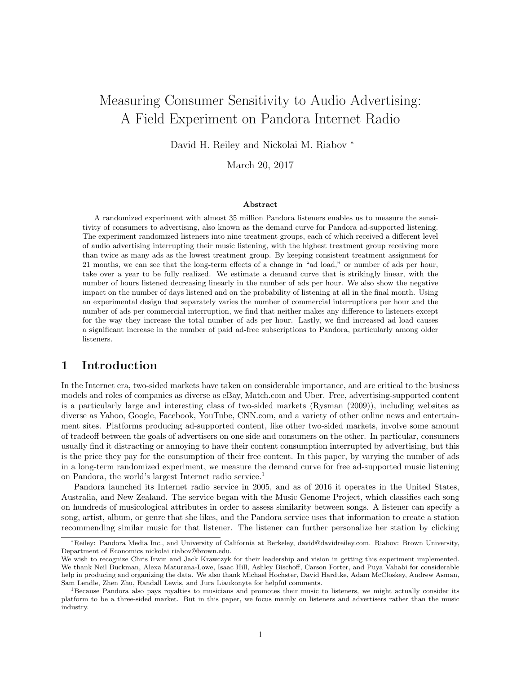# Measuring Consumer Sensitivity to Audio Advertising: A Field Experiment on Pandora Internet Radio

David H. Reiley and Nickolai M. Riabov <sup>∗</sup>

March 20, 2017

#### Abstract

A randomized experiment with almost 35 million Pandora listeners enables us to measure the sensitivity of consumers to advertising, also known as the demand curve for Pandora ad-supported listening. The experiment randomized listeners into nine treatment groups, each of which received a different level of audio advertising interrupting their music listening, with the highest treatment group receiving more than twice as many ads as the lowest treatment group. By keeping consistent treatment assignment for 21 months, we can see that the long-term effects of a change in "ad load," or number of ads per hour, take over a year to be fully realized. We estimate a demand curve that is strikingly linear, with the number of hours listened decreasing linearly in the number of ads per hour. We also show the negative impact on the number of days listened and on the probability of listening at all in the final month. Using an experimental design that separately varies the number of commercial interruptions per hour and the number of ads per commercial interruption, we find that neither makes any difference to listeners except for the way they increase the total number of ads per hour. Lastly, we find increased ad load causes a significant increase in the number of paid ad-free subscriptions to Pandora, particularly among older listeners.

# 1 Introduction

In the Internet era, two-sided markets have taken on considerable importance, and are critical to the business models and roles of companies as diverse as eBay, Match.com and Uber. Free, advertising-supported content is a particularly large and interesting class of two-sided markets (Rysman (2009)), including websites as diverse as Yahoo, Google, Facebook, YouTube, CNN.com, and a variety of other online news and entertainment sites. Platforms producing ad-supported content, like other two-sided markets, involve some amount of tradeoff between the goals of advertisers on one side and consumers on the other. In particular, consumers usually find it distracting or annoying to have their content consumption interrupted by advertising, but this is the price they pay for the consumption of their free content. In this paper, by varying the number of ads in a long-term randomized experiment, we measure the demand curve for free ad-supported music listening on Pandora, the world's largest Internet radio service.<sup>1</sup>

Pandora launched its Internet radio service in 2005, and as of 2016 it operates in the United States, Australia, and New Zealand. The service began with the Music Genome Project, which classifies each song on hundreds of musicological attributes in order to assess similarity between songs. A listener can specify a song, artist, album, or genre that she likes, and the Pandora service uses that information to create a station recommending similar music for that listener. The listener can further personalize her station by clicking

<sup>∗</sup>Reiley: Pandora Media Inc., and University of California at Berkeley, david@davidreiley.com. Riabov: Brown University, Department of Economics nickolai riabov@brown.edu.

We wish to recognize Chris Irwin and Jack Krawczyk for their leadership and vision in getting this experiment implemented. We thank Neil Buckman, Alexa Maturana-Lowe, Isaac Hill, Ashley Bischoff, Carson Forter, and Puya Vahabi for considerable help in producing and organizing the data. We also thank Michael Hochster, David Hardtke, Adam McCloskey, Andrew Asman, Sam Lendle, Zhen Zhu, Randall Lewis, and Jura Liaukonyte for helpful comments.

<sup>1</sup>Because Pandora also pays royalties to musicians and promotes their music to listeners, we might actually consider its platform to be a three-sided market. But in this paper, we focus mainly on listeners and advertisers rather than the music industry.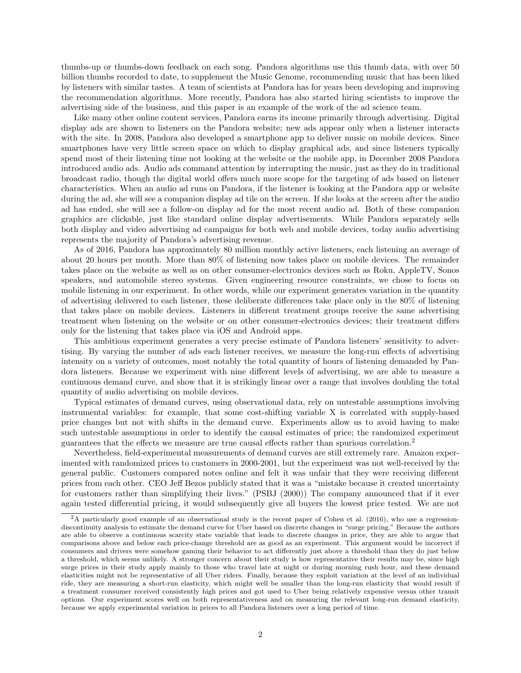thumbs-up or thumbs-down feedback on each song. Pandora algorithms use this thumb data, with over 50 billion thumbs recorded to date, to supplement the Music Genome, recommending music that has been liked by listeners with similar tastes. A team of scientists at Pandora has for years been developing and improving the recommendation algorithms. More recently, Pandora has also started hiring scientists to improve the advertising side of the business, and this paper is an example of the work of the ad science team.

Like many other online content services, Pandora earns its income primarily through advertising. Digital display ads are shown to listeners on the Pandora website; new ads appear only when a listener interacts with the site. In 2008, Pandora also developed a smartphone app to deliver music on mobile devices. Since smartphones have very little screen space on which to display graphical ads, and since listeners typically spend most of their listening time not looking at the website or the mobile app, in December 2008 Pandora introduced audio ads. Audio ads command attention by interrupting the music, just as they do in traditional broadcast radio, though the digital world offers much more scope for the targeting of ads based on listener characteristics. When an audio ad runs on Pandora, if the listener is looking at the Pandora app or website during the ad, she will see a companion display ad tile on the screen. If she looks at the screen after the audio ad has ended, she will see a follow-on display ad for the most recent audio ad. Both of these companion graphics are clickable, just like standard online display advertisements. While Pandora separately sells both display and video advertising ad campaigns for both web and mobile devices, today audio advertising represents the majority of Pandora's advertising revenue.

As of 2016, Pandora has approximately 80 million monthly active listeners, each listening an average of about 20 hours per month. More than 80% of listening now takes place on mobile devices. The remainder takes place on the website as well as on other consumer-electronics devices such as Roku, AppleTV, Sonos speakers, and automobile stereo systems. Given engineering resource constraints, we chose to focus on mobile listening in our experiment. In other words, while our experiment generates variation in the quantity of advertising delivered to each listener, these deliberate differences take place only in the 80% of listening that takes place on mobile devices. Listeners in different treatment groups receive the same advertising treatment when listening on the website or on other consumer-electronics devices; their treatment differs only for the listening that takes place via iOS and Android apps.

This ambitious experiment generates a very precise estimate of Pandora listeners' sensitivity to advertising. By varying the number of ads each listener receives, we measure the long-run effects of advertising intensity on a variety of outcomes, most notably the total quantity of hours of listening demanded by Pandora listeners. Because we experiment with nine different levels of advertising, we are able to measure a continuous demand curve, and show that it is strikingly linear over a range that involves doubling the total quantity of audio advertising on mobile devices.

Typical estimates of demand curves, using observational data, rely on untestable assumptions involving instrumental variables: for example, that some cost-shifting variable X is correlated with supply-based price changes but not with shifts in the demand curve. Experiments allow us to avoid having to make such untestable assumptions in order to identify the causal estimates of price; the randomized experiment guarantees that the effects we measure are true causal effects rather than spurious correlation.<sup>2</sup>

Nevertheless, field-experimental measurements of demand curves are still extremely rare. Amazon experimented with randomized prices to customers in 2000-2001, but the experiment was not well-received by the general public. Customers compared notes online and felt it was unfair that they were receiving different prices from each other. CEO Jeff Bezos publicly stated that it was a "mistake because it created uncertainty for customers rather than simplifying their lives." (PSBJ (2000)) The company announced that if it ever again tested differential pricing, it would subsequently give all buyers the lowest price tested. We are not

<sup>2</sup>A particularly good example of an observational study is the recent paper of Cohen et al. (2016), who use a regressiondiscontinuity analysis to estimate the demand curve for Uber based on discrete changes in "surge pricing." Because the authors are able to observe a continuous scarcity state variable that leads to discrete changes in price, they are able to argue that comparisons above and below each price-change threshold are as good as an experiment. This argument would be incorrect if consumers and drivers were somehow gaming their behavior to act differently just above a threshold than they do just below a threshold, which seems unlikely. A stronger concern about their study is how representative their results may be, since high surge prices in their study apply mainly to those who travel late at night or during morning rush hour, and these demand elasticities might not be representative of all Uber riders. Finally, because they exploit variation at the level of an individual ride, they are measuring a short-run elasticity, which might well be smaller than the long-run elasticity that would result if a treatment consumer received consistently high prices and got used to Uber being relatively expensive versus other transit options. Our experiment scores well on both representativeness and on measuring the relevant long-run demand elasticity, because we apply experimental variation in prices to all Pandora listeners over a long period of time.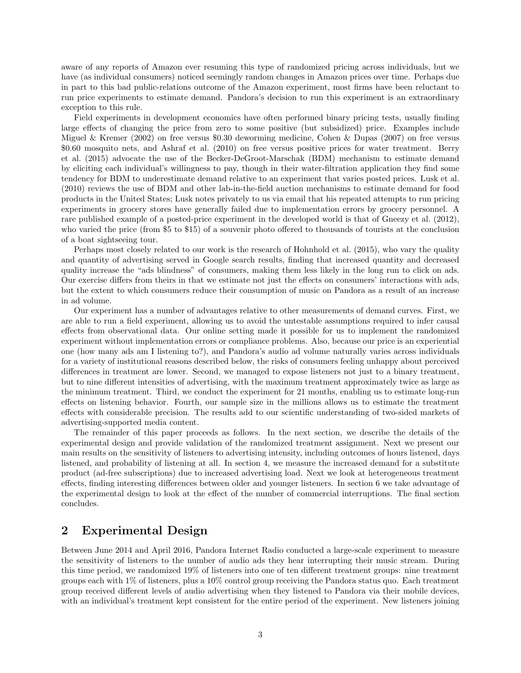aware of any reports of Amazon ever resuming this type of randomized pricing across individuals, but we have (as individual consumers) noticed seemingly random changes in Amazon prices over time. Perhaps due in part to this bad public-relations outcome of the Amazon experiment, most firms have been reluctant to run price experiments to estimate demand. Pandora's decision to run this experiment is an extraordinary exception to this rule.

Field experiments in development economics have often performed binary pricing tests, usually finding large effects of changing the price from zero to some positive (but subsidized) price. Examples include Miguel & Kremer (2002) on free versus \$0.30 deworming medicine, Cohen & Dupas (2007) on free versus \$0.60 mosquito nets, and Ashraf et al. (2010) on free versus positive prices for water treatment. Berry et al. (2015) advocate the use of the Becker-DeGroot-Marschak (BDM) mechanism to estimate demand by eliciting each individual's willingness to pay, though in their water-filtration application they find some tendency for BDM to underestimate demand relative to an experiment that varies posted prices. Lusk et al. (2010) reviews the use of BDM and other lab-in-the-field auction mechanisms to estimate demand for food products in the United States; Lusk notes privately to us via email that his repeated attempts to run pricing experiments in grocery stores have generally failed due to implementation errors by grocery personnel. A rare published example of a posted-price experiment in the developed world is that of Gneezy et al. (2012), who varied the price (from \$5 to \$15) of a souvenir photo offered to thousands of tourists at the conclusion of a boat sightseeing tour.

Perhaps most closely related to our work is the research of Hohnhold et al. (2015), who vary the quality and quantity of advertising served in Google search results, finding that increased quantity and decreased quality increase the "ads blindness" of consumers, making them less likely in the long run to click on ads. Our exercise differs from theirs in that we estimate not just the effects on consumers' interactions with ads, but the extent to which consumers reduce their consumption of music on Pandora as a result of an increase in ad volume.

Our experiment has a number of advantages relative to other measurements of demand curves. First, we are able to run a field experiment, allowing us to avoid the untestable assumptions required to infer causal effects from observational data. Our online setting made it possible for us to implement the randomized experiment without implementation errors or compliance problems. Also, because our price is an experiential one (how many ads am I listening to?), and Pandora's audio ad volume naturally varies across individuals for a variety of institutional reasons described below, the risks of consumers feeling unhappy about perceived differences in treatment are lower. Second, we managed to expose listeners not just to a binary treatment, but to nine different intensities of advertising, with the maximum treatment approximately twice as large as the minimum treatment. Third, we conduct the experiment for 21 months, enabling us to estimate long-run effects on listening behavior. Fourth, our sample size in the millions allows us to estimate the treatment effects with considerable precision. The results add to our scientific understanding of two-sided markets of advertising-supported media content.

The remainder of this paper proceeds as follows. In the next section, we describe the details of the experimental design and provide validation of the randomized treatment assignment. Next we present our main results on the sensitivity of listeners to advertising intensity, including outcomes of hours listened, days listened, and probability of listening at all. In section 4, we measure the increased demand for a substitute product (ad-free subscriptions) due to increased advertising load. Next we look at heterogeneous treatment effects, finding interesting differences between older and younger listeners. In section 6 we take advantage of the experimental design to look at the effect of the number of commercial interruptions. The final section concludes.

# 2 Experimental Design

Between June 2014 and April 2016, Pandora Internet Radio conducted a large-scale experiment to measure the sensitivity of listeners to the number of audio ads they hear interrupting their music stream. During this time period, we randomized 19% of listeners into one of ten different treatment groups: nine treatment groups each with 1% of listeners, plus a 10% control group receiving the Pandora status quo. Each treatment group received different levels of audio advertising when they listened to Pandora via their mobile devices, with an individual's treatment kept consistent for the entire period of the experiment. New listeners joining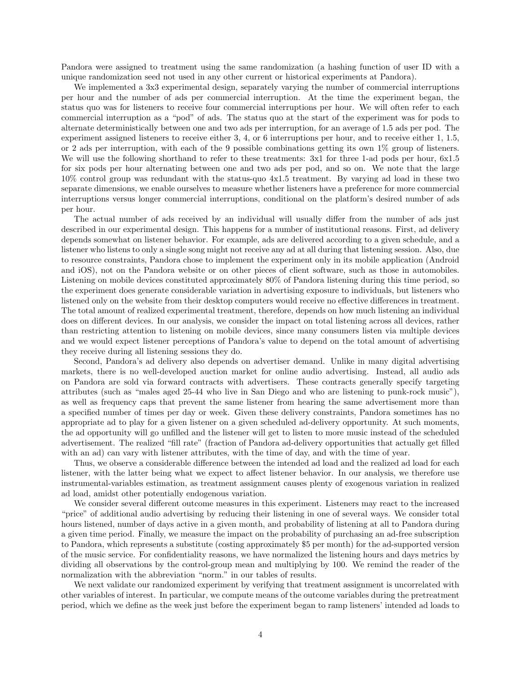Pandora were assigned to treatment using the same randomization (a hashing function of user ID with a unique randomization seed not used in any other current or historical experiments at Pandora).

We implemented a 3x3 experimental design, separately varying the number of commercial interruptions per hour and the number of ads per commercial interruption. At the time the experiment began, the status quo was for listeners to receive four commercial interruptions per hour. We will often refer to each commercial interruption as a "pod" of ads. The status quo at the start of the experiment was for pods to alternate deterministically between one and two ads per interruption, for an average of 1.5 ads per pod. The experiment assigned listeners to receive either 3, 4, or 6 interruptions per hour, and to receive either 1, 1.5, or 2 ads per interruption, with each of the 9 possible combinations getting its own 1% group of listeners. We will use the following shorthand to refer to these treatments: 3x1 for three 1-ad pods per hour, 6x1.5 for six pods per hour alternating between one and two ads per pod, and so on. We note that the large 10% control group was redundant with the status-quo 4x1.5 treatment. By varying ad load in these two separate dimensions, we enable ourselves to measure whether listeners have a preference for more commercial interruptions versus longer commercial interruptions, conditional on the platform's desired number of ads per hour.

The actual number of ads received by an individual will usually differ from the number of ads just described in our experimental design. This happens for a number of institutional reasons. First, ad delivery depends somewhat on listener behavior. For example, ads are delivered according to a given schedule, and a listener who listens to only a single song might not receive any ad at all during that listening session. Also, due to resource constraints, Pandora chose to implement the experiment only in its mobile application (Android and iOS), not on the Pandora website or on other pieces of client software, such as those in automobiles. Listening on mobile devices constituted approximately 80% of Pandora listening during this time period, so the experiment does generate considerable variation in advertising exposure to individuals, but listeners who listened only on the website from their desktop computers would receive no effective differences in treatment. The total amount of realized experimental treatment, therefore, depends on how much listening an individual does on different devices. In our analysis, we consider the impact on total listening across all devices, rather than restricting attention to listening on mobile devices, since many consumers listen via multiple devices and we would expect listener perceptions of Pandora's value to depend on the total amount of advertising they receive during all listening sessions they do.

Second, Pandora's ad delivery also depends on advertiser demand. Unlike in many digital advertising markets, there is no well-developed auction market for online audio advertising. Instead, all audio ads on Pandora are sold via forward contracts with advertisers. These contracts generally specify targeting attributes (such as "males aged 25-44 who live in San Diego and who are listening to punk-rock music"), as well as frequency caps that prevent the same listener from hearing the same advertisement more than a specified number of times per day or week. Given these delivery constraints, Pandora sometimes has no appropriate ad to play for a given listener on a given scheduled ad-delivery opportunity. At such moments, the ad opportunity will go unfilled and the listener will get to listen to more music instead of the scheduled advertisement. The realized "fill rate" (fraction of Pandora ad-delivery opportunities that actually get filled with an ad) can vary with listener attributes, with the time of day, and with the time of year.

Thus, we observe a considerable difference between the intended ad load and the realized ad load for each listener, with the latter being what we expect to affect listener behavior. In our analysis, we therefore use instrumental-variables estimation, as treatment assignment causes plenty of exogenous variation in realized ad load, amidst other potentially endogenous variation.

We consider several different outcome measures in this experiment. Listeners may react to the increased "price" of additional audio advertising by reducing their listening in one of several ways. We consider total hours listened, number of days active in a given month, and probability of listening at all to Pandora during a given time period. Finally, we measure the impact on the probability of purchasing an ad-free subscription to Pandora, which represents a substitute (costing approximately \$5 per month) for the ad-supported version of the music service. For confidentiality reasons, we have normalized the listening hours and days metrics by dividing all observations by the control-group mean and multiplying by 100. We remind the reader of the normalization with the abbreviation "norm." in our tables of results.

We next validate our randomized experiment by verifying that treatment assignment is uncorrelated with other variables of interest. In particular, we compute means of the outcome variables during the pretreatment period, which we define as the week just before the experiment began to ramp listeners' intended ad loads to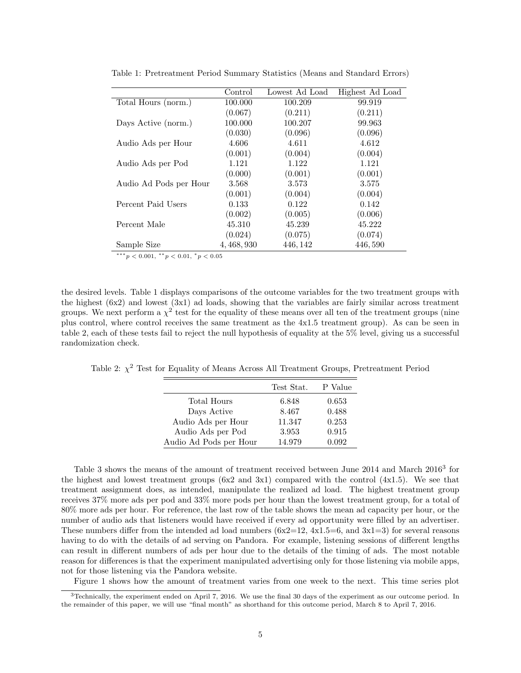|                        | Control     | Lowest Ad Load | Highest Ad Load |
|------------------------|-------------|----------------|-----------------|
| Total Hours (norm.)    | 100.000     | 100.209        | 99.919          |
|                        | (0.067)     | (0.211)        | (0.211)         |
| Days Active (norm.)    | 100.000     | 100.207        | 99.963          |
|                        | (0.030)     | (0.096)        | (0.096)         |
| Audio Ads per Hour     | 4.606       | 4.611          | 4.612           |
|                        | (0.001)     | (0.004)        | (0.004)         |
| Audio Ads per Pod      | 1.121       | 1.122          | 1.121           |
|                        | (0.000)     | (0.001)        | (0.001)         |
| Audio Ad Pods per Hour | 3.568       | 3.573          | 3.575           |
|                        | (0.001)     | (0.004)        | (0.004)         |
| Percent Paid Users     | 0.133       | 0.122          | 0.142           |
|                        | (0.002)     | (0.005)        | (0.006)         |
| Percent Male           | 45.310      | 45.239         | 45.222          |
|                        | (0.024)     | (0.075)        | (0.074)         |
| Sample Size            | 4, 468, 930 | 446, 142       | 446,590         |

Table 1: Pretreatment Period Summary Statistics (Means and Standard Errors)

 $***p<sub>0.001</sub>, **p<sub>0.01</sub>, *p<sub>0.05</sub>$ 

the desired levels. Table 1 displays comparisons of the outcome variables for the two treatment groups with the highest  $(6x2)$  and lowest  $(3x1)$  ad loads, showing that the variables are fairly similar across treatment groups. We next perform a  $\chi^2$  test for the equality of these means over all ten of the treatment groups (nine plus control, where control receives the same treatment as the 4x1.5 treatment group). As can be seen in table 2, each of these tests fail to reject the null hypothesis of equality at the 5% level, giving us a successful randomization check.

Table 2:  $\chi^2$  Test for Equality of Means Across All Treatment Groups, Pretreatment Period

|                        | Test Stat. | P Value |
|------------------------|------------|---------|
| Total Hours            | 6.848      | 0.653   |
| Days Active            | 8.467      | 0.488   |
| Audio Ads per Hour     | 11.347     | 0.253   |
| Audio Ads per Pod      | 3.953      | 0.915   |
| Audio Ad Pods per Hour | 14.979     | 0.092   |

Table 3 shows the means of the amount of treatment received between June 2014 and March 2016<sup>3</sup> for the highest and lowest treatment groups  $(6x2 \text{ and } 3x1)$  compared with the control  $(4x1.5)$ . We see that treatment assignment does, as intended, manipulate the realized ad load. The highest treatment group receives 37% more ads per pod and 33% more pods per hour than the lowest treatment group, for a total of 80% more ads per hour. For reference, the last row of the table shows the mean ad capacity per hour, or the number of audio ads that listeners would have received if every ad opportunity were filled by an advertiser. These numbers differ from the intended ad load numbers  $(6x2=12, 4x1.5=6,$  and  $3x1=3$ ) for several reasons having to do with the details of ad serving on Pandora. For example, listening sessions of different lengths can result in different numbers of ads per hour due to the details of the timing of ads. The most notable reason for differences is that the experiment manipulated advertising only for those listening via mobile apps, not for those listening via the Pandora website.

Figure 1 shows how the amount of treatment varies from one week to the next. This time series plot

 $3$ Technically, the experiment ended on April 7, 2016. We use the final 30 days of the experiment as our outcome period. In the remainder of this paper, we will use "final month" as shorthand for this outcome period, March 8 to April 7, 2016.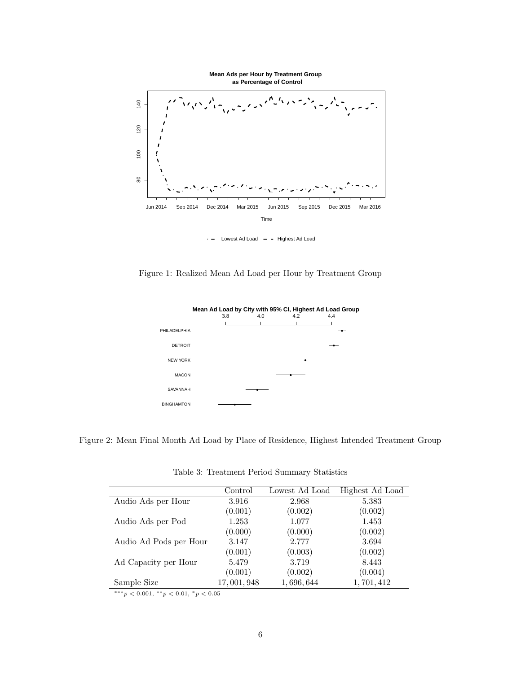

 $\cdot$  - Lowest Ad Load - - Highest Ad Load

Figure 1: Realized Mean Ad Load per Hour by Treatment Group



Figure 2: Mean Final Month Ad Load by Place of Residence, Highest Intended Treatment Group

|                        | Control    | Lowest Ad Load | Highest Ad Load |
|------------------------|------------|----------------|-----------------|
| Audio Ads per Hour     | 3.916      | 2.968          | 5.383           |
|                        | (0.001)    | (0.002)        | (0.002)         |
| Audio Ads per Pod      | 1.253      | 1.077          | 1.453           |
|                        | (0.000)    | (0.000)        | (0.002)         |
| Audio Ad Pods per Hour | 3.147      | 2.777          | 3.694           |
|                        | (0.001)    | (0.003)        | (0.002)         |
| Ad Capacity per Hour   | 5.479      | 3.719          | 8.443           |
|                        | (0.001)    | (0.002)        | (0.004)         |
| Sample Size            | 17,001,948 | 1,696,644      | 1,701,412       |

Table 3: Treatment Period Summary Statistics

 $\frac{1}{x^{n*}} p < 0.001, \, \frac{x}{p} < 0.01, \, \frac{x}{p} < 0.05$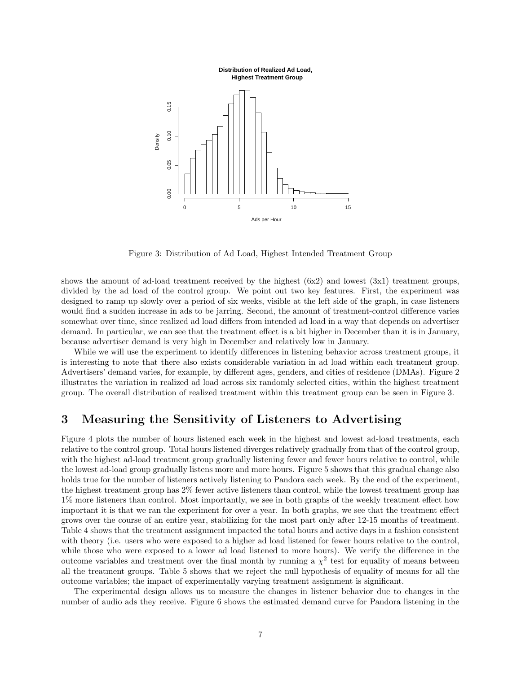

Figure 3: Distribution of Ad Load, Highest Intended Treatment Group

shows the amount of ad-load treatment received by the highest (6x2) and lowest (3x1) treatment groups, divided by the ad load of the control group. We point out two key features. First, the experiment was designed to ramp up slowly over a period of six weeks, visible at the left side of the graph, in case listeners would find a sudden increase in ads to be jarring. Second, the amount of treatment-control difference varies somewhat over time, since realized ad load differs from intended ad load in a way that depends on advertiser demand. In particular, we can see that the treatment effect is a bit higher in December than it is in January, because advertiser demand is very high in December and relatively low in January.

While we will use the experiment to identify differences in listening behavior across treatment groups, it is interesting to note that there also exists considerable variation in ad load within each treatment group. Advertisers' demand varies, for example, by different ages, genders, and cities of residence (DMAs). Figure 2 illustrates the variation in realized ad load across six randomly selected cities, within the highest treatment group. The overall distribution of realized treatment within this treatment group can be seen in Figure 3.

# 3 Measuring the Sensitivity of Listeners to Advertising

Figure 4 plots the number of hours listened each week in the highest and lowest ad-load treatments, each relative to the control group. Total hours listened diverges relatively gradually from that of the control group, with the highest ad-load treatment group gradually listening fewer and fewer hours relative to control, while the lowest ad-load group gradually listens more and more hours. Figure 5 shows that this gradual change also holds true for the number of listeners actively listening to Pandora each week. By the end of the experiment, the highest treatment group has 2% fewer active listeners than control, while the lowest treatment group has 1% more listeners than control. Most importantly, we see in both graphs of the weekly treatment effect how important it is that we ran the experiment for over a year. In both graphs, we see that the treatment effect grows over the course of an entire year, stabilizing for the most part only after 12-15 months of treatment. Table 4 shows that the treatment assignment impacted the total hours and active days in a fashion consistent with theory (i.e. users who were exposed to a higher ad load listened for fewer hours relative to the control, while those who were exposed to a lower ad load listened to more hours). We verify the difference in the outcome variables and treatment over the final month by running a  $\chi^2$  test for equality of means between all the treatment groups. Table 5 shows that we reject the null hypothesis of equality of means for all the outcome variables; the impact of experimentally varying treatment assignment is significant.

The experimental design allows us to measure the changes in listener behavior due to changes in the number of audio ads they receive. Figure 6 shows the estimated demand curve for Pandora listening in the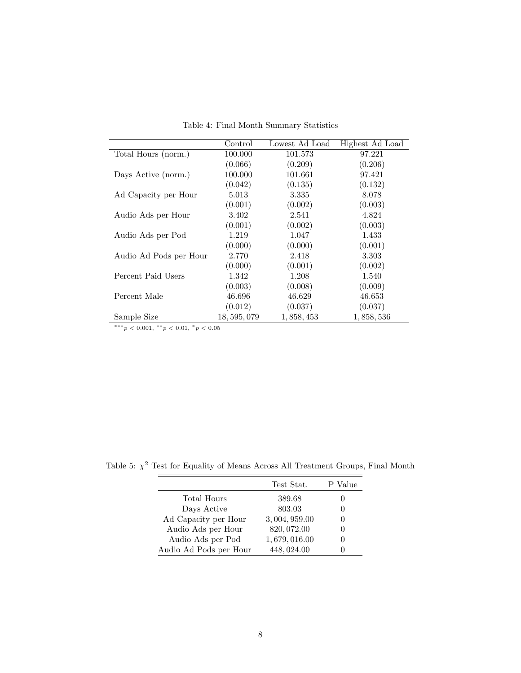|                        | Control      | Lowest Ad Load | Highest Ad Load |
|------------------------|--------------|----------------|-----------------|
| Total Hours (norm.)    | 100.000      | 101.573        | 97.221          |
|                        | (0.066)      | (0.209)        | (0.206)         |
| Days Active (norm.)    | 100.000      | 101.661        | 97.421          |
|                        | (0.042)      | (0.135)        | (0.132)         |
| Ad Capacity per Hour   | 5.013        | 3.335          | 8.078           |
|                        | (0.001)      | (0.002)        | (0.003)         |
| Audio Ads per Hour     | 3.402        | 2.541          | 4.824           |
|                        | (0.001)      | (0.002)        | (0.003)         |
| Audio Ads per Pod      | 1.219        | 1.047          | 1.433           |
|                        | (0.000)      | (0.000)        | (0.001)         |
| Audio Ad Pods per Hour | 2.770        | 2.418          | 3.303           |
|                        | (0.000)      | (0.001)        | (0.002)         |
| Percent Paid Users     | 1.342        | 1.208          | 1.540           |
|                        | (0.003)      | (0.008)        | (0.009)         |
| Percent Male           | 46.696       | 46.629         | 46.653          |
|                        | (0.012)      | (0.037)        | (0.037)         |
| Sample Size            | 18, 595, 079 | 1,858,453      | 1,858,536       |

Table 4: Final Month Summary Statistics

 $\frac{1}{x^{n+1}}$  +  $\frac{1}{x^{n+1}}$  +  $p < 0.001$ ,  $\frac{1}{x}$  +  $p < 0.01$ ,  $\frac{1}{x}$  +  $p < 0.05$ 

Table 5:  $\chi^2$  Test for Equality of Means Across All Treatment Groups, Final Month

|                        | Test Stat.   | P Value |
|------------------------|--------------|---------|
| Total Hours            | 389.68       |         |
| Days Active            | 803.03       |         |
| Ad Capacity per Hour   | 3,004,959.00 |         |
| Audio Ads per Hour     | 820, 072.00  |         |
| Audio Ads per Pod      | 1,679,016.00 |         |
| Audio Ad Pods per Hour | 448,024.00   |         |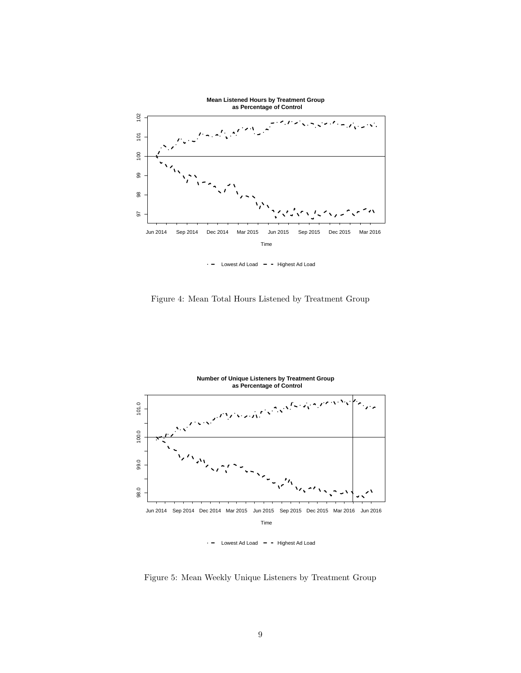

Lowest Ad Load  $-$  - Highest Ad Load

Figure 4: Mean Total Hours Listened by Treatment Group



 $\cdot$  - Lowest Ad Load - - Highest Ad Load

Figure 5: Mean Weekly Unique Listeners by Treatment Group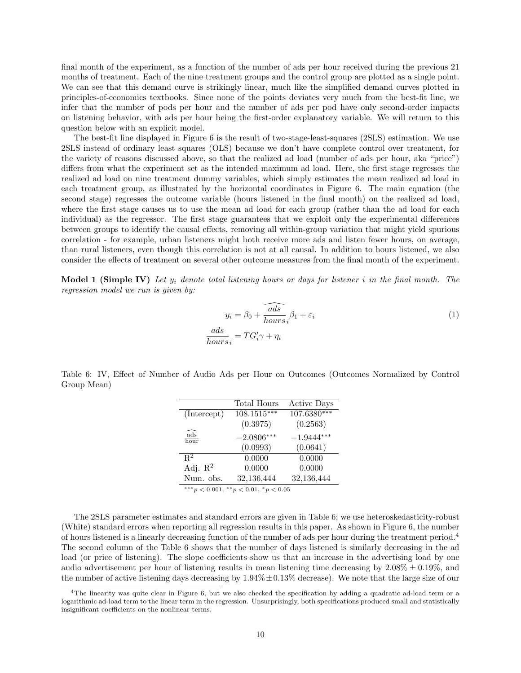final month of the experiment, as a function of the number of ads per hour received during the previous 21 months of treatment. Each of the nine treatment groups and the control group are plotted as a single point. We can see that this demand curve is strikingly linear, much like the simplified demand curves plotted in principles-of-economics textbooks. Since none of the points deviates very much from the best-fit line, we infer that the number of pods per hour and the number of ads per pod have only second-order impacts on listening behavior, with ads per hour being the first-order explanatory variable. We will return to this question below with an explicit model.

The best-fit line displayed in Figure 6 is the result of two-stage-least-squares (2SLS) estimation. We use 2SLS instead of ordinary least squares (OLS) because we don't have complete control over treatment, for the variety of reasons discussed above, so that the realized ad load (number of ads per hour, aka "price") differs from what the experiment set as the intended maximum ad load. Here, the first stage regresses the realized ad load on nine treatment dummy variables, which simply estimates the mean realized ad load in each treatment group, as illustrated by the horizontal coordinates in Figure 6. The main equation (the second stage) regresses the outcome variable (hours listened in the final month) on the realized ad load, where the first stage causes us to use the mean ad load for each group (rather than the ad load for each individual) as the regressor. The first stage guarantees that we exploit only the experimental differences between groups to identify the causal effects, removing all within-group variation that might yield spurious correlation - for example, urban listeners might both receive more ads and listen fewer hours, on average, than rural listeners, even though this correlation is not at all causal. In addition to hours listened, we also consider the effects of treatment on several other outcome measures from the final month of the experiment.

**Model 1 (Simple IV)** Let  $y_i$  denote total listening hours or days for listener i in the final month. The regression model we run is given by:

$$
y_i = \beta_0 + \widehat{\frac{ads}{hours}}_i \beta_1 + \varepsilon_i
$$
  

$$
\frac{ads}{hours}_i = TG'_i \gamma + \eta_i
$$
 (1)

Table 6: IV, Effect of Number of Audio Ads per Hour on Outcomes (Outcomes Normalized by Control Group Mean)

|                          | Total Hours                                         | <b>Active Days</b> |
|--------------------------|-----------------------------------------------------|--------------------|
| (Intercept)              | $108.1515***$                                       | $107.6380***$      |
|                          | (0.3975)                                            | (0.2563)           |
| $\frac{ads}{hour}$       | $-2.0806***$                                        | $-1.9444***$       |
|                          | (0.0993)                                            | (0.0641)           |
| $R^2$                    | 0.0000                                              | 0.0000             |
| Adj. $R^2$               | 0.0000                                              | 0.0000             |
| Num. obs.                | 32,136,444                                          | 32,136,444         |
| ***<br>**<br>$\sim$ 0.00 | $\sim$ $\sim$ $\sim$ $\sim$<br>$\sim$ $\sim$ $\sim$ |                    |

 $\gamma p < 0.001$ ,  $\gamma p < 0.01$ ,  $\gamma p < 0.05$ 

The 2SLS parameter estimates and standard errors are given in Table 6; we use heteroskedasticity-robust (White) standard errors when reporting all regression results in this paper. As shown in Figure 6, the number of hours listened is a linearly decreasing function of the number of ads per hour during the treatment period.<sup>4</sup> The second column of the Table 6 shows that the number of days listened is similarly decreasing in the ad load (or price of listening). The slope coefficients show us that an increase in the advertising load by one audio advertisement per hour of listening results in mean listening time decreasing by  $2.08\% \pm 0.19\%$ , and the number of active listening days decreasing by  $1.94\% \pm 0.13\%$  decrease). We note that the large size of our

<sup>4</sup>The linearity was quite clear in Figure 6, but we also checked the specification by adding a quadratic ad-load term or a logarithmic ad-load term to the linear term in the regression. Unsurprisingly, both specifications produced small and statistically insignificant coefficients on the nonlinear terms.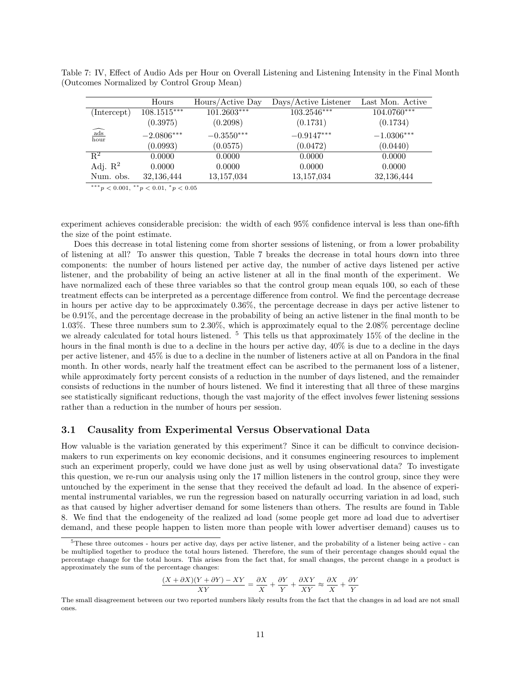|                                                | Hours         | Hours/Active Day | Days/Active Listener | Last Mon. Active |
|------------------------------------------------|---------------|------------------|----------------------|------------------|
| (Intercept)                                    | $108.1515***$ | $101.2603***$    | $103.2546***$        | $104.0760***$    |
|                                                | (0.3975)      | (0.2098)         | (0.1731)             | (0.1734)         |
| $\widehat{\frac{\mathrm{ads}}{\mathrm{hour}}}$ | $-2.0806***$  | $-0.3550***$     | $-0.9147***$         | $-1.0306***$     |
|                                                | (0.0993)      | (0.0575)         | (0.0472)             | (0.0440)         |
| $\mathbf{R}^2$                                 | 0.0000        | 0.0000           | 0.0000               | 0.0000           |
| Adj. $R^2$                                     | 0.0000        | 0.0000           | 0.0000               | 0.0000           |
| Num. obs.                                      | 32,136,444    | 13,157,034       | 13,157,034           | 32,136,444       |

Table 7: IV, Effect of Audio Ads per Hour on Overall Listening and Listening Intensity in the Final Month (Outcomes Normalized by Control Group Mean)

∗∗∗p < 0.001, ∗∗p < 0.01, <sup>∗</sup>p < 0.05

experiment achieves considerable precision: the width of each 95% confidence interval is less than one-fifth the size of the point estimate.

Does this decrease in total listening come from shorter sessions of listening, or from a lower probability of listening at all? To answer this question, Table 7 breaks the decrease in total hours down into three components: the number of hours listened per active day, the number of active days listened per active listener, and the probability of being an active listener at all in the final month of the experiment. We have normalized each of these three variables so that the control group mean equals 100, so each of these treatment effects can be interpreted as a percentage difference from control. We find the percentage decrease in hours per active day to be approximately 0.36%, the percentage decrease in days per active listener to be 0.91%, and the percentage decrease in the probability of being an active listener in the final month to be 1.03%. These three numbers sum to 2.30%, which is approximately equal to the 2.08% percentage decline we already calculated for total hours listened.  $5$  This tells us that approximately 15% of the decline in the hours in the final month is due to a decline in the hours per active day, 40% is due to a decline in the days per active listener, and 45% is due to a decline in the number of listeners active at all on Pandora in the final month. In other words, nearly half the treatment effect can be ascribed to the permanent loss of a listener, while approximately forty percent consists of a reduction in the number of days listened, and the remainder consists of reductions in the number of hours listened. We find it interesting that all three of these margins see statistically significant reductions, though the vast majority of the effect involves fewer listening sessions rather than a reduction in the number of hours per session.

### 3.1 Causality from Experimental Versus Observational Data

How valuable is the variation generated by this experiment? Since it can be difficult to convince decisionmakers to run experiments on key economic decisions, and it consumes engineering resources to implement such an experiment properly, could we have done just as well by using observational data? To investigate this question, we re-run our analysis using only the 17 million listeners in the control group, since they were untouched by the experiment in the sense that they received the default ad load. In the absence of experimental instrumental variables, we run the regression based on naturally occurring variation in ad load, such as that caused by higher advertiser demand for some listeners than others. The results are found in Table 8. We find that the endogeneity of the realized ad load (some people get more ad load due to advertiser demand, and these people happen to listen more than people with lower advertiser demand) causes us to

$$
\frac{(X+\partial X)(Y+\partial Y)-XY}{XY}=\frac{\partial X}{X}+\frac{\partial Y}{Y}+\frac{\partial XY}{XY}\approx\frac{\partial X}{X}+\frac{\partial Y}{Y}
$$

 $5$ These three outcomes - hours per active day, days per active listener, and the probability of a listener being active - can be multiplied together to produce the total hours listened. Therefore, the sum of their percentage changes should equal the percentage change for the total hours. This arises from the fact that, for small changes, the percent change in a product is approximately the sum of the percentage changes:

The small disagreement between our two reported numbers likely results from the fact that the changes in ad load are not small ones.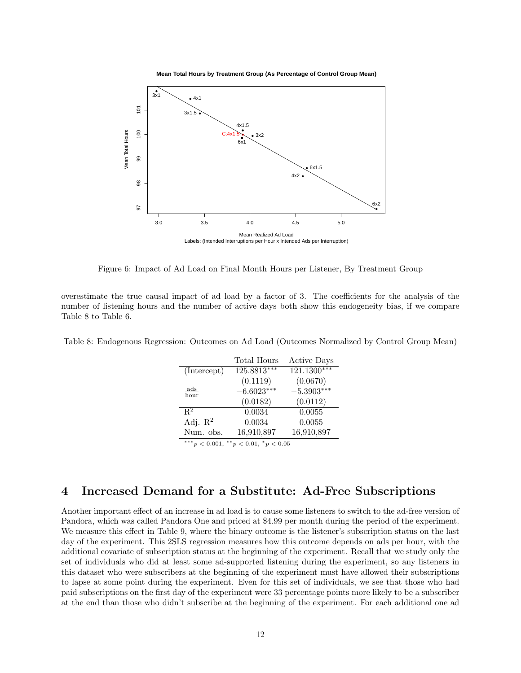



Figure 6: Impact of Ad Load on Final Month Hours per Listener, By Treatment Group

overestimate the true causal impact of ad load by a factor of 3. The coefficients for the analysis of the number of listening hours and the number of active days both show this endogeneity bias, if we compare Table 8 to Table 6.

|                                                | Total Hours   | <b>Active Days</b> |  |
|------------------------------------------------|---------------|--------------------|--|
| (Intercept)                                    | $125.8813***$ | $121.1300***$      |  |
|                                                | (0.1119)      | (0.0670)           |  |
| $\frac{ads}{hour}$                             | $-6.6023***$  | $-5.3903***$       |  |
|                                                | (0.0182)      | (0.0112)           |  |
| $R^2$                                          | 0.0034        | 0.0055             |  |
| Adj. $\mathbb{R}^2$                            | 0.0034        | 0.0055             |  |
| Num. obs.                                      | 16,910,897    | 16,910,897         |  |
| *** $p < 0.001$ , ** $p < 0.01$ , * $p < 0.05$ |               |                    |  |

Table 8: Endogenous Regression: Outcomes on Ad Load (Outcomes Normalized by Control Group Mean)

# 4 Increased Demand for a Substitute: Ad-Free Subscriptions

Another important effect of an increase in ad load is to cause some listeners to switch to the ad-free version of Pandora, which was called Pandora One and priced at \$4.99 per month during the period of the experiment. We measure this effect in Table 9, where the binary outcome is the listener's subscription status on the last day of the experiment. This 2SLS regression measures how this outcome depends on ads per hour, with the additional covariate of subscription status at the beginning of the experiment. Recall that we study only the set of individuals who did at least some ad-supported listening during the experiment, so any listeners in this dataset who were subscribers at the beginning of the experiment must have allowed their subscriptions to lapse at some point during the experiment. Even for this set of individuals, we see that those who had paid subscriptions on the first day of the experiment were 33 percentage points more likely to be a subscriber at the end than those who didn't subscribe at the beginning of the experiment. For each additional one ad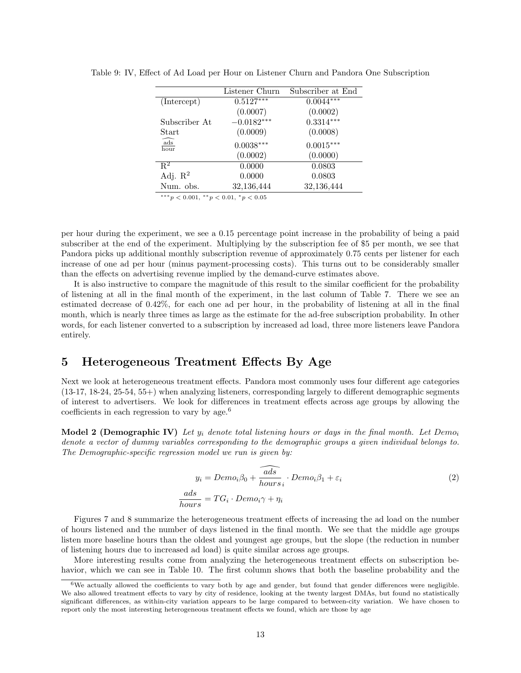|                         | Listener Churn | Subscriber at End |
|-------------------------|----------------|-------------------|
| (Intercept)             | $0.5127***$    | $0.0044***$       |
|                         | (0.0007)       | (0.0002)          |
| Subscriber At           | $-0.0182***$   | $0.3314***$       |
| Start                   | (0.0009)       | (0.0008)          |
| $\widehat{ads}$<br>hour | $0.0038***$    | $0.0015***$       |
|                         | (0.0002)       | (0.0000)          |
| $R^2$                   | 0.0000         | 0.0803            |
| Adj. $\mathbb{R}^2$     | 0.0000         | 0.0803            |
| Num. obs.               | 32,136,444     | 32,136,444        |

Table 9: IV, Effect of Ad Load per Hour on Listener Churn and Pandora One Subscription

 $***p<0.001,$   $**p<0.01,$   $p<0.05$ 

per hour during the experiment, we see a 0.15 percentage point increase in the probability of being a paid subscriber at the end of the experiment. Multiplying by the subscription fee of \$5 per month, we see that Pandora picks up additional monthly subscription revenue of approximately 0.75 cents per listener for each increase of one ad per hour (minus payment-processing costs). This turns out to be considerably smaller than the effects on advertising revenue implied by the demand-curve estimates above.

It is also instructive to compare the magnitude of this result to the similar coefficient for the probability of listening at all in the final month of the experiment, in the last column of Table 7. There we see an estimated decrease of 0.42%, for each one ad per hour, in the probability of listening at all in the final month, which is nearly three times as large as the estimate for the ad-free subscription probability. In other words, for each listener converted to a subscription by increased ad load, three more listeners leave Pandora entirely.

# 5 Heterogeneous Treatment Effects By Age

Next we look at heterogeneous treatment effects. Pandora most commonly uses four different age categories (13-17, 18-24, 25-54, 55+) when analyzing listeners, corresponding largely to different demographic segments of interest to advertisers. We look for differences in treatment effects across age groups by allowing the coefficients in each regression to vary by age.<sup>6</sup>

**Model 2 (Demographic IV)** Let  $y_i$  denote total listening hours or days in the final month. Let Demo<sub>i</sub> denote a vector of dummy variables corresponding to the demographic groups a given individual belongs to. The Demographic-specific regression model we run is given by:

$$
y_i = Demo_i\beta_0 + \widehat{\frac{ads}{hours}}_i \cdot Demo_i\beta_1 + \varepsilon_i
$$
  

$$
\frac{ads}{hours} = TG_i \cdot Demo_i\gamma + \eta_i
$$
 (2)

Figures 7 and 8 summarize the heterogeneous treatment effects of increasing the ad load on the number of hours listened and the number of days listened in the final month. We see that the middle age groups listen more baseline hours than the oldest and youngest age groups, but the slope (the reduction in number of listening hours due to increased ad load) is quite similar across age groups.

More interesting results come from analyzing the heterogeneous treatment effects on subscription behavior, which we can see in Table 10. The first column shows that both the baseline probability and the

<sup>&</sup>lt;sup>6</sup>We actually allowed the coefficients to vary both by age and gender, but found that gender differences were negligible. We also allowed treatment effects to vary by city of residence, looking at the twenty largest DMAs, but found no statistically significant differences, as within-city variation appears to be large compared to between-city variation. We have chosen to report only the most interesting heterogeneous treatment effects we found, which are those by age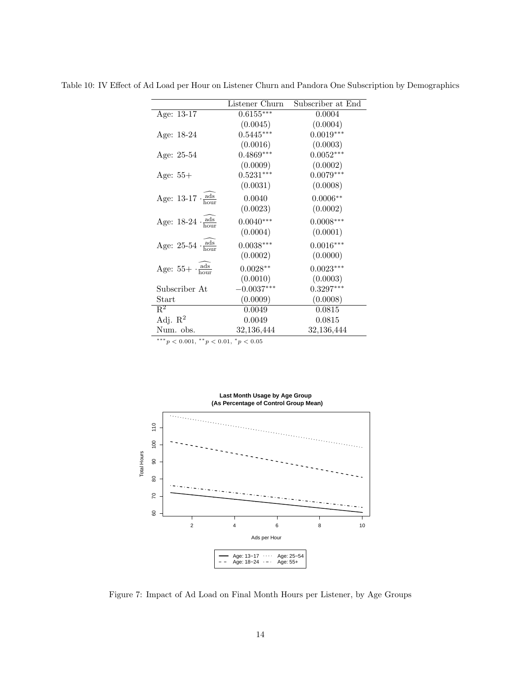|                                      | Listener Churn | Subscriber at End |
|--------------------------------------|----------------|-------------------|
| Age: $13-17$                         | $0.6155***$    | 0.0004            |
|                                      | (0.0045)       | (0.0004)          |
| Age: 18-24                           | $0.5445***$    | $0.0019***$       |
|                                      | (0.0016)       | (0.0003)          |
| Age: 25-54                           | $0.4869***$    | $0.0052***$       |
|                                      | (0.0009)       | (0.0002)          |
| Age: $55+$                           | $0.5231***$    | $0.0079***$       |
|                                      | (0.0031)       | (0.0008)          |
| Age: $13-17 \cdot \frac{ads}{hours}$ | 0.0040         | $0.0006**$        |
|                                      | (0.0023)       | (0.0002)          |
| Age: $18-24 \cdot \frac{ads}{hour}$  | $0.0040***$    | $0.0008***$       |
|                                      | (0.0004)       | (0.0001)          |
| Age: $25-54 \cdot \frac{ads}{hour}$  | $0.0038***$    | $0.0016***$       |
|                                      | (0.0002)       | (0.0000)          |
| Age: $55 + \frac{ads}{hours}$        | $0.0028**$     | $0.0023***$       |
|                                      | (0.0010)       | (0.0003)          |
| Subscriber At                        | $-0.0037***$   | $0.3297***$       |
| Start                                | (0.0009)       | (0.0008)          |
| $\overline{\mathrm{R}^2}$            | 0.0049         | 0.0815            |
| Adj. $R^2$                           | 0.0049         | 0.0815            |
| Num. obs.                            | 32,136,444     | 32,136,444        |
|                                      |                |                   |

Table 10: IV Effect of Ad Load per Hour on Listener Churn and Pandora One Subscription by Demographics

 $^{***}p<0.001,~^{**}p<0.01,~^{*}p<0.05$ 



Figure 7: Impact of Ad Load on Final Month Hours per Listener, by Age Groups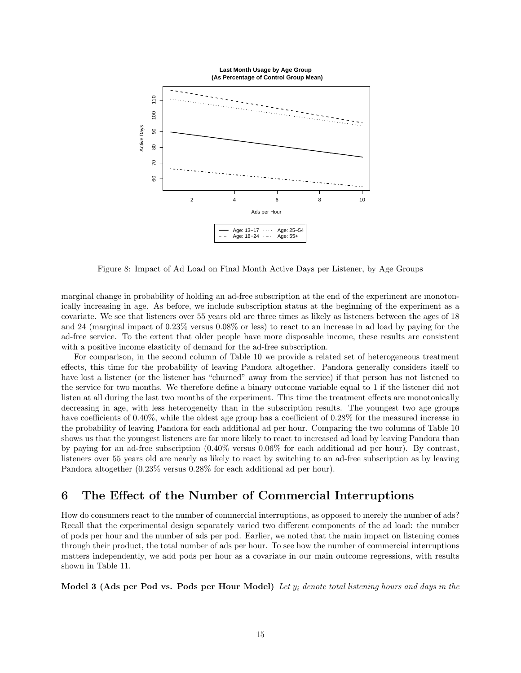

Figure 8: Impact of Ad Load on Final Month Active Days per Listener, by Age Groups

marginal change in probability of holding an ad-free subscription at the end of the experiment are monotonically increasing in age. As before, we include subscription status at the beginning of the experiment as a covariate. We see that listeners over 55 years old are three times as likely as listeners between the ages of 18 and 24 (marginal impact of 0.23% versus 0.08% or less) to react to an increase in ad load by paying for the ad-free service. To the extent that older people have more disposable income, these results are consistent with a positive income elasticity of demand for the ad-free subscription.

For comparison, in the second column of Table 10 we provide a related set of heterogeneous treatment effects, this time for the probability of leaving Pandora altogether. Pandora generally considers itself to have lost a listener (or the listener has "churned" away from the service) if that person has not listened to the service for two months. We therefore define a binary outcome variable equal to 1 if the listener did not listen at all during the last two months of the experiment. This time the treatment effects are monotonically decreasing in age, with less heterogeneity than in the subscription results. The youngest two age groups have coefficients of 0.40%, while the oldest age group has a coefficient of 0.28% for the measured increase in the probability of leaving Pandora for each additional ad per hour. Comparing the two columns of Table 10 shows us that the youngest listeners are far more likely to react to increased ad load by leaving Pandora than by paying for an ad-free subscription (0.40% versus 0.06% for each additional ad per hour). By contrast, listeners over 55 years old are nearly as likely to react by switching to an ad-free subscription as by leaving Pandora altogether (0.23% versus 0.28% for each additional ad per hour).

# 6 The Effect of the Number of Commercial Interruptions

How do consumers react to the number of commercial interruptions, as opposed to merely the number of ads? Recall that the experimental design separately varied two different components of the ad load: the number of pods per hour and the number of ads per pod. Earlier, we noted that the main impact on listening comes through their product, the total number of ads per hour. To see how the number of commercial interruptions matters independently, we add pods per hour as a covariate in our main outcome regressions, with results shown in Table 11.

Model 3 (Ads per Pod vs. Pods per Hour Model) Let  $y_i$  denote total listening hours and days in the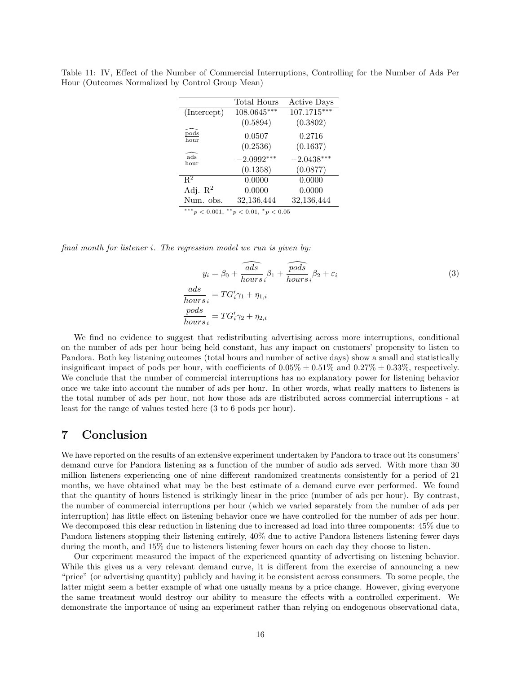|                                                | Total Hours  | <b>Active Days</b> |  |
|------------------------------------------------|--------------|--------------------|--|
| (Intercept)                                    | 108.0645***  | $107.1715***$      |  |
|                                                | (0.5894)     | (0.3802)           |  |
| $_{\rm pods}$<br>hour                          | 0.0507       | 0.2716             |  |
|                                                | (0.2536)     | (0.1637)           |  |
| $\mathrm{ads}$<br>hour                         | $-2.0992***$ | $-2.0438***$       |  |
|                                                | (0.1358)     | (0.0877)           |  |
| $R^2$                                          | 0.0000       | 0.0000             |  |
| Adj. $\mathbb{R}^2$                            | 0.0000       | 0.0000             |  |
| Num. obs.                                      | 32,136,444   | 32,136,444         |  |
| *** $p < 0.001$ ,<br>$** p < 0.01, * p < 0.05$ |              |                    |  |

Table 11: IV, Effect of the Number of Commercial Interruptions, Controlling for the Number of Ads Per Hour (Outcomes Normalized by Control Group Mean)

final month for listener i. The regression model we run is given by:

$$
y_i = \beta_0 + \widehat{\frac{ads}{hours}}_i \beta_1 + \widehat{\frac{pods}{hours}}_i \beta_2 + \varepsilon_i
$$
  

$$
\frac{ads}{hours}_i = TG'_i \gamma_1 + \eta_{1,i}
$$
  

$$
\frac{pods}{hours}_i = TG'_i \gamma_2 + \eta_{2,i}
$$
  
(3)

We find no evidence to suggest that redistributing advertising across more interruptions, conditional on the number of ads per hour being held constant, has any impact on customers' propensity to listen to Pandora. Both key listening outcomes (total hours and number of active days) show a small and statistically insignificant impact of pods per hour, with coefficients of  $0.05\% \pm 0.51\%$  and  $0.27\% \pm 0.33\%$ , respectively. We conclude that the number of commercial interruptions has no explanatory power for listening behavior once we take into account the number of ads per hour. In other words, what really matters to listeners is the total number of ads per hour, not how those ads are distributed across commercial interruptions - at least for the range of values tested here (3 to 6 pods per hour).

# 7 Conclusion

We have reported on the results of an extensive experiment undertaken by Pandora to trace out its consumers' demand curve for Pandora listening as a function of the number of audio ads served. With more than 30 million listeners experiencing one of nine different randomized treatments consistently for a period of 21 months, we have obtained what may be the best estimate of a demand curve ever performed. We found that the quantity of hours listened is strikingly linear in the price (number of ads per hour). By contrast, the number of commercial interruptions per hour (which we varied separately from the number of ads per interruption) has little effect on listening behavior once we have controlled for the number of ads per hour. We decomposed this clear reduction in listening due to increased ad load into three components: 45% due to Pandora listeners stopping their listening entirely, 40% due to active Pandora listeners listening fewer days during the month, and 15% due to listeners listening fewer hours on each day they choose to listen.

Our experiment measured the impact of the experienced quantity of advertising on listening behavior. While this gives us a very relevant demand curve, it is different from the exercise of announcing a new "price" (or advertising quantity) publicly and having it be consistent across consumers. To some people, the latter might seem a better example of what one usually means by a price change. However, giving everyone the same treatment would destroy our ability to measure the effects with a controlled experiment. We demonstrate the importance of using an experiment rather than relying on endogenous observational data,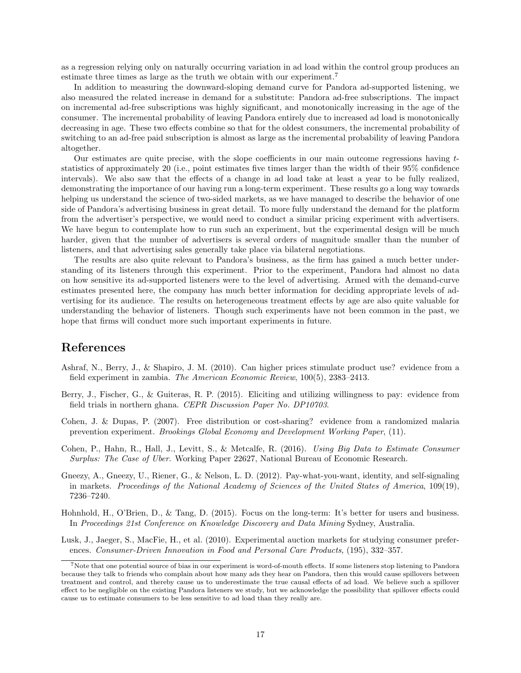as a regression relying only on naturally occurring variation in ad load within the control group produces an estimate three times as large as the truth we obtain with our experiment.<sup>7</sup>

In addition to measuring the downward-sloping demand curve for Pandora ad-supported listening, we also measured the related increase in demand for a substitute: Pandora ad-free subscriptions. The impact on incremental ad-free subscriptions was highly significant, and monotonically increasing in the age of the consumer. The incremental probability of leaving Pandora entirely due to increased ad load is monotonically decreasing in age. These two effects combine so that for the oldest consumers, the incremental probability of switching to an ad-free paid subscription is almost as large as the incremental probability of leaving Pandora altogether.

Our estimates are quite precise, with the slope coefficients in our main outcome regressions having  $t$ statistics of approximately 20 (i.e., point estimates five times larger than the width of their 95% confidence intervals). We also saw that the effects of a change in ad load take at least a year to be fully realized, demonstrating the importance of our having run a long-term experiment. These results go a long way towards helping us understand the science of two-sided markets, as we have managed to describe the behavior of one side of Pandora's advertising business in great detail. To more fully understand the demand for the platform from the advertiser's perspective, we would need to conduct a similar pricing experiment with advertisers. We have begun to contemplate how to run such an experiment, but the experimental design will be much harder, given that the number of advertisers is several orders of magnitude smaller than the number of listeners, and that advertising sales generally take place via bilateral negotiations.

The results are also quite relevant to Pandora's business, as the firm has gained a much better understanding of its listeners through this experiment. Prior to the experiment, Pandora had almost no data on how sensitive its ad-supported listeners were to the level of advertising. Armed with the demand-curve estimates presented here, the company has much better information for deciding appropriate levels of advertising for its audience. The results on heterogeneous treatment effects by age are also quite valuable for understanding the behavior of listeners. Though such experiments have not been common in the past, we hope that firms will conduct more such important experiments in future.

### References

- Ashraf, N., Berry, J., & Shapiro, J. M. (2010). Can higher prices stimulate product use? evidence from a field experiment in zambia. The American Economic Review, 100(5), 2383–2413.
- Berry, J., Fischer, G., & Guiteras, R. P. (2015). Eliciting and utilizing willingness to pay: evidence from field trials in northern ghana. CEPR Discussion Paper No. DP10703.
- Cohen, J. & Dupas, P. (2007). Free distribution or cost-sharing? evidence from a randomized malaria prevention experiment. Brookings Global Economy and Development Working Paper, (11).
- Cohen, P., Hahn, R., Hall, J., Levitt, S., & Metcalfe, R. (2016). Using Big Data to Estimate Consumer Surplus: The Case of Uber. Working Paper 22627, National Bureau of Economic Research.
- Gneezy, A., Gneezy, U., Riener, G., & Nelson, L. D. (2012). Pay-what-you-want, identity, and self-signaling in markets. Proceedings of the National Academy of Sciences of the United States of America, 109(19), 7236–7240.
- Hohnhold, H., O'Brien, D., & Tang, D. (2015). Focus on the long-term: It's better for users and business. In Proceedings 21st Conference on Knowledge Discovery and Data Mining Sydney, Australia.
- Lusk, J., Jaeger, S., MacFie, H., et al. (2010). Experimental auction markets for studying consumer preferences. Consumer-Driven Innovation in Food and Personal Care Products, (195), 332–357.

<sup>7</sup>Note that one potential source of bias in our experiment is word-of-mouth effects. If some listeners stop listening to Pandora because they talk to friends who complain about how many ads they hear on Pandora, then this would cause spillovers between treatment and control, and thereby cause us to underestimate the true causal effects of ad load. We believe such a spillover effect to be negligible on the existing Pandora listeners we study, but we acknowledge the possibility that spillover effects could cause us to estimate consumers to be less sensitive to ad load than they really are.